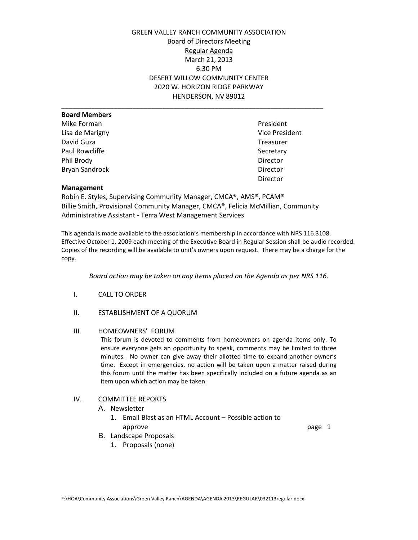GREEN VALLEY RANCH COMMUNITY ASSOCIATION Board of Directors Meeting Regular Agenda March 21, 2013 6:30 PM DESERT WILLOW COMMUNITY CENTER 2020 W. HORIZON RIDGE PARKWAY HENDERSON, NV 89012

| <b>Board Members</b>  |                       |
|-----------------------|-----------------------|
| Mike Forman           | President             |
| Lisa de Marigny       | <b>Vice President</b> |
|                       |                       |
| David Guza            | Treasurer             |
| Paul Rowcliffe        | Secretary             |
| Phil Brody            | Director              |
| <b>Bryan Sandrock</b> | Director              |
|                       |                       |

President Vice President Treasurer Director

### **Management**

Robin E. Styles, Supervising Community Manager, CMCA®, AMS®, PCAM® Billie Smith, Provisional Community Manager, CMCA®, Felicia McMillian, Community Administrative Assistant - Terra West Management Services

This agenda is made available to the association's membership in accordance with NRS 116.3108. Effective October 1, 2009 each meeting of the Executive Board in Regular Session shall be audio recorded. Copies of the recording will be available to unit's owners upon request. There may be a charge for the copy.

*Board action may be taken on any items placed on the Agenda as per NRS 116.*

- I. CALL TO ORDER
- II. ESTABLISHMENT OF A QUORUM

## III. HOMEOWNERS' FORUM

This forum is devoted to comments from homeowners on agenda items only. To ensure everyone gets an opportunity to speak, comments may be limited to three minutes. No owner can give away their allotted time to expand another owner's time. Except in emergencies, no action will be taken upon a matter raised during this forum until the matter has been specifically included on a future agenda as an item upon which action may be taken.

## IV. COMMITTEE REPORTS

## A. Newsletter

- 1. Email Blast as an HTML Account Possible action to approve **page 1**
- B. Landscape Proposals
	- 1. Proposals (none)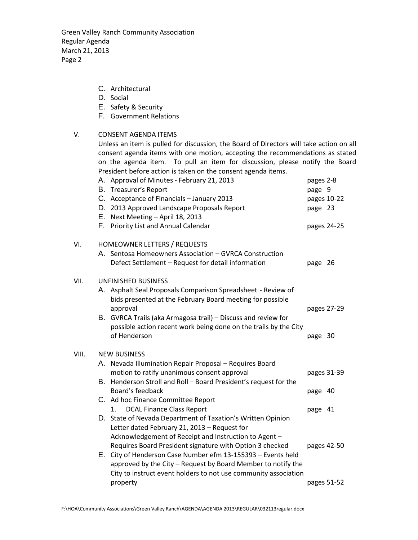Green Valley Ranch Community Association Regular Agenda March 21, 2013 Page 2

- C. Architectural
- D. Social
- E. Safety & Security
- F. Government Relations

# V. CONSENT AGENDA ITEMS

Unless an item is pulled for discussion, the Board of Directors will take action on all consent agenda items with one motion, accepting the recommendations as stated on the agenda item. To pull an item for discussion, please notify the Board President before action is taken on the consent agenda items.

|       | A. Approval of Minutes - February 21, 2013<br>B. Treasurer's Report<br>C. Acceptance of Financials - January 2013                                                                                                                                           | pages 2-8<br>page 9 | pages 10-22 |
|-------|-------------------------------------------------------------------------------------------------------------------------------------------------------------------------------------------------------------------------------------------------------------|---------------------|-------------|
|       | D. 2013 Approved Landscape Proposals Report<br>E. Next Meeting - April 18, 2013                                                                                                                                                                             | page 23             |             |
|       | F. Priority List and Annual Calendar                                                                                                                                                                                                                        |                     | pages 24-25 |
| VI.   | HOMEOWNER LETTERS / REQUESTS                                                                                                                                                                                                                                |                     |             |
|       | A. Sentosa Homeowners Association - GVRCA Construction<br>Defect Settlement - Request for detail information                                                                                                                                                | page 26             |             |
| VII.  | <b>UNFINISHED BUSINESS</b>                                                                                                                                                                                                                                  |                     |             |
|       | A. Asphalt Seal Proposals Comparison Spreadsheet - Review of<br>bids presented at the February Board meeting for possible<br>approval                                                                                                                       | pages 27-29         |             |
|       | B. GVRCA Trails (aka Armagosa trail) - Discuss and review for<br>possible action recent work being done on the trails by the City<br>of Henderson                                                                                                           | page 30             |             |
| VIII. | <b>NEW BUSINESS</b>                                                                                                                                                                                                                                         |                     |             |
|       | A. Nevada Illumination Repair Proposal - Requires Board<br>motion to ratify unanimous consent approval                                                                                                                                                      | pages 31-39         |             |
|       | B. Henderson Stroll and Roll - Board President's request for the<br>Board's feedback                                                                                                                                                                        | page 40             |             |
|       | C. Ad hoc Finance Committee Report<br><b>DCAL Finance Class Report</b><br>1.                                                                                                                                                                                | page 41             |             |
|       | D. State of Nevada Department of Taxation's Written Opinion<br>Letter dated February 21, 2013 - Request for<br>Acknowledgement of Receipt and Instruction to Agent -                                                                                        |                     |             |
|       | Requires Board President signature with Option 3 checked<br>E. City of Henderson Case Number efm 13-155393 - Events held<br>approved by the City - Request by Board Member to notify the<br>City to instruct event holders to not use community association |                     | pages 42-50 |
|       | property                                                                                                                                                                                                                                                    | pages 51-52         |             |